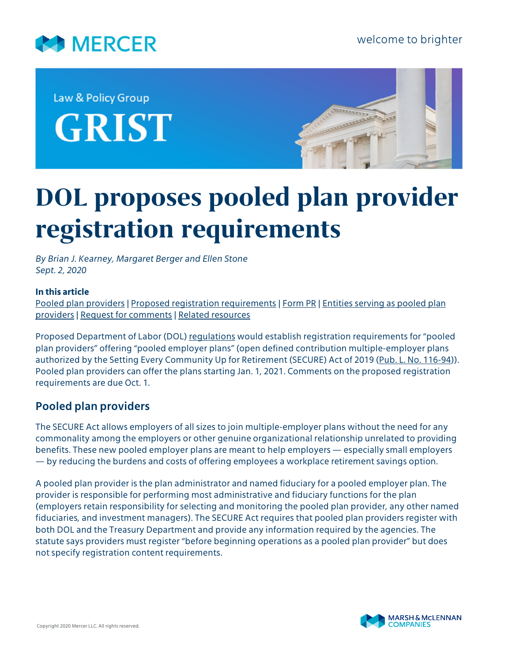

Law & Policy Group **GRIST** 



# **DOL proposes pooled plan provider registration requirements**

*By Brian J. Kearney, Margaret Berger and Ellen Stone Sept. 2, 2020*

#### **In this article**

[Pooled plan providers](#page-0-0) | [Proposed registration requirements](#page-1-0) | [Form PR](#page-3-0) | [Entities serving as pooled plan](#page-3-1) [providers](#page-3-1) | [Request for comments](#page-4-0) | [Related resources](#page-4-1)

Proposed Department of Labor (DOL) [regulations](https://www.govinfo.gov/content/pkg/FR-2020-09-01/pdf/2020-18504.pdf) would establish registration requirements for "pooled plan providers" offering "pooled employer plans" (open defined contribution multiple-employer plans authorized by the Setting Every Community Up for Retirement (SECURE) Act of 2019 ([Pub. L. No. 116-94\)](https://www.govinfo.gov/content/pkg/PLAW-116publ94/pdf/PLAW-116publ94.pdf#page=605)). Pooled plan providers can offer the plans starting Jan. 1, 2021. Comments on the proposed registration requirements are due Oct. 1.

# <span id="page-0-0"></span>**Pooled plan providers**

The SECURE Act allows employers of all sizes to join multiple-employer plans without the need for any commonality among the employers or other genuine organizational relationship unrelated to providing benefits. These new pooled employer plans are meant to help employers — especially small employers — by reducing the burdens and costs of offering employees a workplace retirement savings option.

A pooled plan provider is the plan administrator and named fiduciary for a pooled employer plan. The provider is responsible for performing most administrative and fiduciary functions for the plan (employers retain responsibility for selecting and monitoring the pooled plan provider, any other named fiduciaries, and investment managers). The SECURE Act requires that pooled plan providers register with both DOL and the Treasury Department and provide any information required by the agencies. The statute says providers must register "before beginning operations as a pooled plan provider" but does not specify registration content requirements.

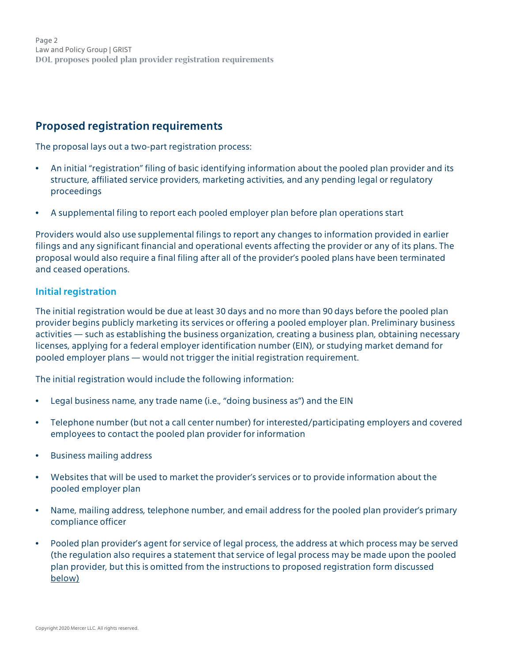Page 2 Law and Policy Group | GRIST **DOL proposes pooled plan provider registration requirements**

# <span id="page-1-0"></span>**Proposed registration requirements**

The proposal lays out a two-part registration process:

- An initial "registration" filing of basic identifying information about the pooled plan provider and its structure, affiliated service providers, marketing activities, and any pending legal or regulatory proceedings
- A supplemental filing to report each pooled employer plan before plan operations start

Providers would also use supplemental filings to report any changes to information provided in earlier filings and any significant financial and operational events affecting the provider or any of its plans. The proposal would also require a final filing after all of the provider's pooled plans have been terminated and ceased operations.

#### **Initial registration**

The initial registration would be due at least 30 days and no more than 90 days before the pooled plan provider begins publicly marketing its services or offering a pooled employer plan. Preliminary business activities — such as establishing the business organization, creating a business plan, obtaining necessary licenses, applying for a federal employer identification number (EIN), or studying market demand for pooled employer plans — would not trigger the initial registration requirement.

The initial registration would include the following information:

- Legal business name, any trade name (i.e., "doing business as") and the EIN
- Telephone number (but not a call center number) for interested/participating employers and covered employees to contact the pooled plan provider for information
- Business mailing address
- Websites that will be used to market the provider's services or to provide information about the pooled employer plan
- Name, mailing address, telephone number, and email address for the pooled plan provider's primary compliance officer
- Pooled plan provider's agent for service of legal process, the address at which process may be served (the regulation also requires a statement that service of legal process may be made upon the pooled plan provider, but this is omitted from the instructions to proposed registration form discussed [below\)](#page-3-0)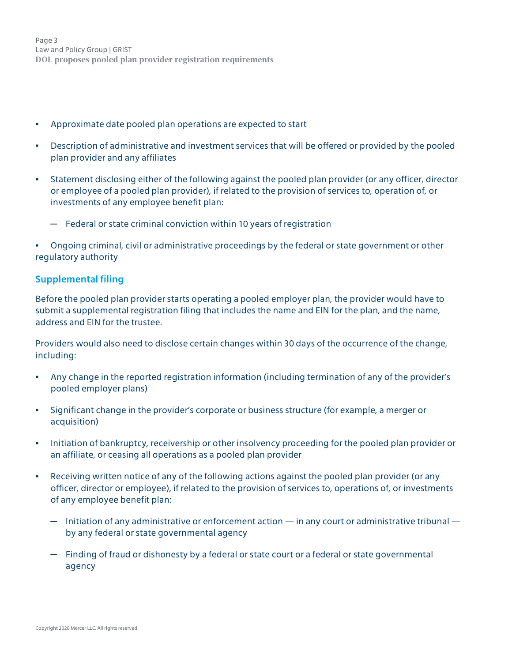Page 3 Law and Policy Group | GRIST **DOL proposes pooled plan provider registration requirements**

- Approximate date pooled plan operations are expected to start
- Description of administrative and investment services that will be offered or provided by the pooled plan provider and any affiliates
- Statement disclosing either of the following against the pooled plan provider (or any officer, director or employee of a pooled plan provider), if related to the provision of services to, operation of, or investments of any employee benefit plan:
	- $-$  Federal or state criminal conviction within 10 years of registration
- Ongoing criminal, civil or administrative proceedings by the federal or state government or other regulatory authority

#### **Supplemental filing**

Before the pooled plan provider starts operating a pooled employer plan, the provider would have to submit a supplemental registration filing that includes the name and EIN for the plan, and the name, address and EIN for the trustee.

Providers would also need to disclose certain changes within 30 days of the occurrence of the change, including:

- Any change in the reported registration information (including termination of any of the provider's pooled employer plans)
- Significant change in the provider's corporate or business structure (for example, a merger or acquisition)
- Initiation of bankruptcy, receivership or other insolvency proceeding for the pooled plan provider or an affiliate, or ceasing all operations as a pooled plan provider
- Receiving written notice of any of the following actions against the pooled plan provider (or any officer, director or employee), if related to the provision of services to, operations of, or investments of any employee benefit plan:
	- $-$  Initiation of any administrative or enforcement action  $-$  in any court or administrative tribunal  $$ by any federal or state governmental agency
	- $-$  Finding of fraud or dishonesty by a federal or state court or a federal or state governmental agency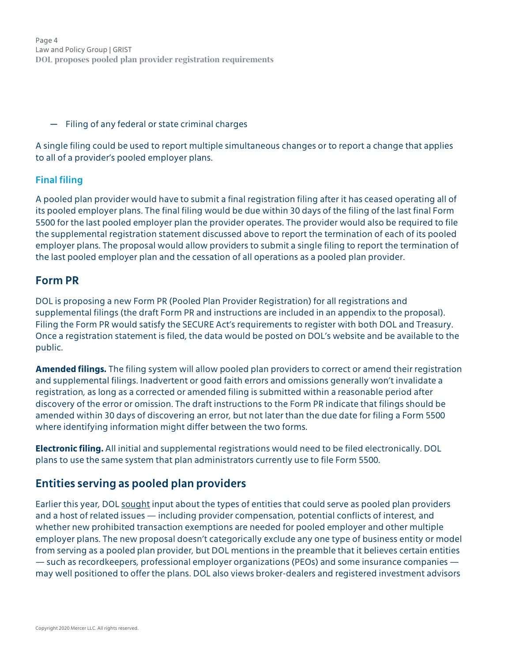Page 4 Law and Policy Group | GRIST **DOL proposes pooled plan provider registration requirements**

─ Filing of any federal or state criminal charges

A single filing could be used to report multiple simultaneous changes or to report a change that applies to all of a provider's pooled employer plans.

### **Final filing**

A pooled plan provider would have to submit a final registration filing after it has ceased operating all of its pooled employer plans. The final filing would be due within 30 days of the filing of the last final Form 5500 for the last pooled employer plan the provider operates. The provider would also be required to file the supplemental registration statement discussed above to report the termination of each of its pooled employer plans. The proposal would allow providers to submit a single filing to report the termination of the last pooled employer plan and the cessation of all operations as a pooled plan provider.

## <span id="page-3-0"></span>**Form PR**

DOL is proposing a new Form PR (Pooled Plan Provider Registration) for all registrations and supplemental filings (the draft Form PR and instructions are included in an appendix to the proposal). Filing the Form PR would satisfy the SECURE Act's requirements to register with both DOL and Treasury. Once a registration statement is filed, the data would be posted on DOL's website and be available to the public.

**Amended filings.** The filing system will allow pooled plan providers to correct or amend their registration and supplemental filings. Inadvertent or good faith errors and omissions generally won't invalidate a registration, as long as a corrected or amended filing is submitted within a reasonable period after discovery of the error or omission. The draft instructions to the Form PR indicate that filings should be amended within 30 days of discovering an error, but not later than the due date for filing a Form 5500 where identifying information might differ between the two forms.

**Electronic filing.** All initial and supplemental registrations would need to be filed electronically. DOL plans to use the same system that plan administrators currently use to file Form 5500.

# <span id="page-3-1"></span>**Entities serving as pooled plan providers**

Earlier this year, DOL [sought](https://www.federalregister.gov/d/2020-13142) input about the types of entities that could serve as pooled plan providers and a host of related issues — including provider compensation, potential conflicts of interest, and whether new prohibited transaction exemptions are needed for pooled employer and other multiple employer plans. The new proposal doesn't categorically exclude any one type of business entity or model from serving as a pooled plan provider, but DOL mentions in the preamble that it believes certain entities — such as recordkeepers, professional employer organizations (PEOs) and some insurance companies may well positioned to offer the plans. DOL also views broker-dealers and registered investment advisors